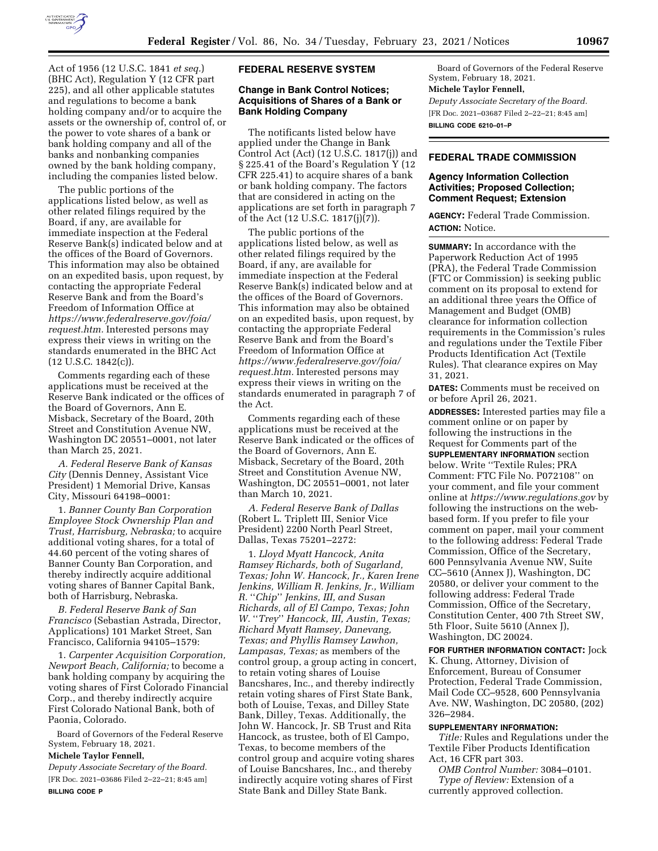

Act of 1956 (12 U.S.C. 1841 *et seq.*) (BHC Act), Regulation Y (12 CFR part 225), and all other applicable statutes and regulations to become a bank holding company and/or to acquire the assets or the ownership of, control of, or the power to vote shares of a bank or bank holding company and all of the banks and nonbanking companies owned by the bank holding company, including the companies listed below.

The public portions of the applications listed below, as well as other related filings required by the Board, if any, are available for immediate inspection at the Federal Reserve Bank(s) indicated below and at the offices of the Board of Governors. This information may also be obtained on an expedited basis, upon request, by contacting the appropriate Federal Reserve Bank and from the Board's Freedom of Information Office at *[https://www.federalreserve.gov/foia/](https://www.federalreserve.gov/foia/request.htm) [request.htm.](https://www.federalreserve.gov/foia/request.htm)* Interested persons may express their views in writing on the standards enumerated in the BHC Act  $(12 \text{ U.S.C. } 1842(c))$ .

Comments regarding each of these applications must be received at the Reserve Bank indicated or the offices of the Board of Governors, Ann E. Misback, Secretary of the Board, 20th Street and Constitution Avenue NW, Washington DC 20551–0001, not later than March 25, 2021.

*A. Federal Reserve Bank of Kansas City* (Dennis Denney, Assistant Vice President) 1 Memorial Drive, Kansas City, Missouri 64198–0001:

1. *Banner County Ban Corporation Employee Stock Ownership Plan and Trust, Harrisburg, Nebraska;* to acquire additional voting shares, for a total of 44.60 percent of the voting shares of Banner County Ban Corporation, and thereby indirectly acquire additional voting shares of Banner Capital Bank, both of Harrisburg, Nebraska.

*B. Federal Reserve Bank of San Francisco* (Sebastian Astrada, Director, Applications) 101 Market Street, San Francisco, California 94105–1579:

1. *Carpenter Acquisition Corporation, Newport Beach, California;* to become a bank holding company by acquiring the voting shares of First Colorado Financial Corp., and thereby indirectly acquire First Colorado National Bank, both of Paonia, Colorado.

Board of Governors of the Federal Reserve System, February 18, 2021.

# **Michele Taylor Fennell,**

*Deputy Associate Secretary of the Board.*  [FR Doc. 2021–03686 Filed 2–22–21; 8:45 am] **BILLING CODE P** 

#### **FEDERAL RESERVE SYSTEM**

## **Change in Bank Control Notices; Acquisitions of Shares of a Bank or Bank Holding Company**

The notificants listed below have applied under the Change in Bank Control Act (Act) (12 U.S.C. 1817(j)) and § 225.41 of the Board's Regulation Y (12 CFR 225.41) to acquire shares of a bank or bank holding company. The factors that are considered in acting on the applications are set forth in paragraph 7 of the Act (12 U.S.C. 1817(j)(7)).

The public portions of the applications listed below, as well as other related filings required by the Board, if any, are available for immediate inspection at the Federal Reserve Bank(s) indicated below and at the offices of the Board of Governors. This information may also be obtained on an expedited basis, upon request, by contacting the appropriate Federal Reserve Bank and from the Board's Freedom of Information Office at *[https://www.federalreserve.gov/foia/](https://www.federalreserve.gov/foia/request.htm) [request.htm.](https://www.federalreserve.gov/foia/request.htm)* Interested persons may express their views in writing on the standards enumerated in paragraph 7 of the Act.

Comments regarding each of these applications must be received at the Reserve Bank indicated or the offices of the Board of Governors, Ann E. Misback, Secretary of the Board, 20th Street and Constitution Avenue NW, Washington, DC 20551–0001, not later than March 10, 2021.

*A. Federal Reserve Bank of Dallas*  (Robert L. Triplett III, Senior Vice President) 2200 North Pearl Street, Dallas, Texas 75201–2272:

1. *Lloyd Myatt Hancock, Anita Ramsey Richards, both of Sugarland, Texas; John W. Hancock, Jr., Karen Irene Jenkins, William R. Jenkins, Jr., William R.* ''*Chip*'' *Jenkins, III, and Susan Richards, all of El Campo, Texas; John W.* ''*Trey*'' *Hancock, III, Austin, Texas; Richard Myatt Ramsey, Danevang, Texas; and Phyllis Ramsey Lawhon, Lampasas, Texas;* as members of the control group, a group acting in concert, to retain voting shares of Louise Bancshares, Inc., and thereby indirectly retain voting shares of First State Bank, both of Louise, Texas, and Dilley State Bank, Dilley, Texas. Additionally, the John W. Hancock, Jr. SB Trust and Rita Hancock, as trustee, both of El Campo, Texas, to become members of the control group and acquire voting shares of Louise Bancshares, Inc., and thereby indirectly acquire voting shares of First State Bank and Dilley State Bank.

Board of Governors of the Federal Reserve System, February 18, 2021.

#### **Michele Taylor Fennell,**

*Deputy Associate Secretary of the Board.*  [FR Doc. 2021–03687 Filed 2–22–21; 8:45 am] **BILLING CODE 6210–01–P** 

## **FEDERAL TRADE COMMISSION**

## **Agency Information Collection Activities; Proposed Collection; Comment Request; Extension**

**AGENCY:** Federal Trade Commission. **ACTION:** Notice.

**SUMMARY:** In accordance with the Paperwork Reduction Act of 1995 (PRA), the Federal Trade Commission (FTC or Commission) is seeking public comment on its proposal to extend for an additional three years the Office of Management and Budget (OMB) clearance for information collection requirements in the Commission's rules and regulations under the Textile Fiber Products Identification Act (Textile Rules). That clearance expires on May 31, 2021.

**DATES:** Comments must be received on or before April 26, 2021.

**ADDRESSES:** Interested parties may file a comment online or on paper by following the instructions in the Request for Comments part of the **SUPPLEMENTARY INFORMATION** section below. Write ''Textile Rules; PRA Comment: FTC File No. P072108'' on your comment, and file your comment online at *<https://www.regulations.gov>* by following the instructions on the webbased form. If you prefer to file your comment on paper, mail your comment to the following address: Federal Trade Commission, Office of the Secretary, 600 Pennsylvania Avenue NW, Suite CC–5610 (Annex J), Washington, DC 20580, or deliver your comment to the following address: Federal Trade Commission, Office of the Secretary, Constitution Center, 400 7th Street SW, 5th Floor, Suite 5610 (Annex J), Washington, DC 20024.

**FOR FURTHER INFORMATION CONTACT:** Jock K. Chung, Attorney, Division of Enforcement, Bureau of Consumer Protection, Federal Trade Commission, Mail Code CC–9528, 600 Pennsylvania Ave. NW, Washington, DC 20580, (202) 326–2984.

## **SUPPLEMENTARY INFORMATION:**

*Title:* Rules and Regulations under the Textile Fiber Products Identification Act, 16 CFR part 303.

*OMB Control Number:* 3084–0101. *Type of Review:* Extension of a currently approved collection.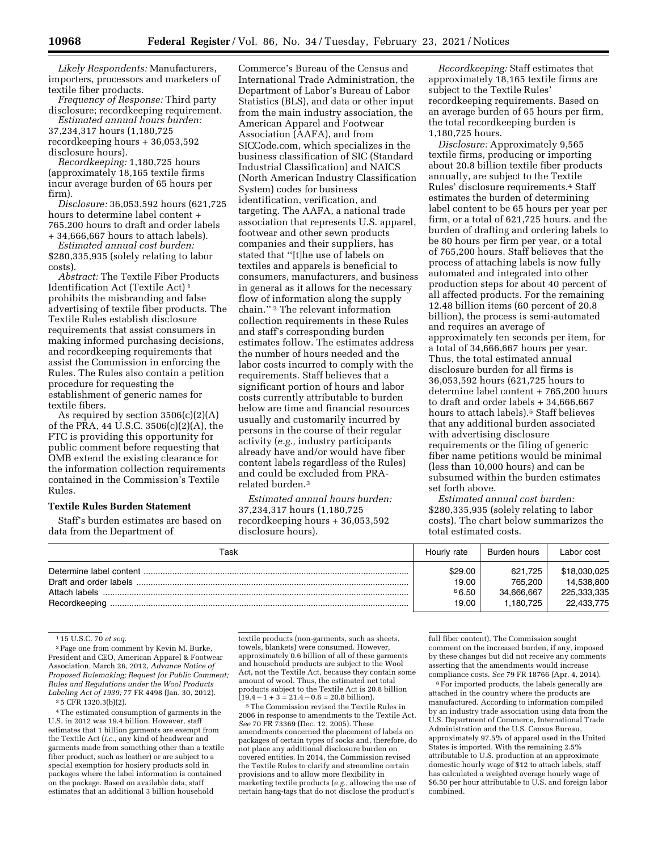*Likely Respondents:* Manufacturers, importers, processors and marketers of textile fiber products.

*Frequency of Response:* Third party disclosure; recordkeeping requirement. *Estimated annual hours burden:* 

37,234,317 hours (1,180,725 recordkeeping hours + 36,053,592 disclosure hours).

*Recordkeeping:* 1,180,725 hours (approximately 18,165 textile firms incur average burden of 65 hours per firm).

*Disclosure:* 36,053,592 hours (621,725 hours to determine label content + 765,200 hours to draft and order labels + 34,666,667 hours to attach labels).

*Estimated annual cost burden:* 

\$280,335,935 (solely relating to labor costs).

*Abstract:* The Textile Fiber Products Identification Act (Textile Act) 1 prohibits the misbranding and false advertising of textile fiber products. The Textile Rules establish disclosure requirements that assist consumers in making informed purchasing decisions, and recordkeeping requirements that assist the Commission in enforcing the Rules. The Rules also contain a petition procedure for requesting the establishment of generic names for textile fibers.

As required by section 3506(c)(2)(A) of the PRA, 44 U.S.C. 3506(c)(2)(A), the FTC is providing this opportunity for public comment before requesting that OMB extend the existing clearance for the information collection requirements contained in the Commission's Textile Rules.

## **Textile Rules Burden Statement**

Staff's burden estimates are based on data from the Department of

Commerce's Bureau of the Census and International Trade Administration, the Department of Labor's Bureau of Labor Statistics (BLS), and data or other input from the main industry association, the American Apparel and Footwear Association (AAFA), and from SICCode.com, which specializes in the business classification of SIC (Standard Industrial Classification) and NAICS (North American Industry Classification System) codes for business identification, verification, and targeting. The AAFA, a national trade association that represents U.S. apparel, footwear and other sewn products companies and their suppliers, has stated that ''[t]he use of labels on textiles and apparels is beneficial to consumers, manufacturers, and business in general as it allows for the necessary flow of information along the supply chain.'' 2 The relevant information collection requirements in these Rules and staff's corresponding burden estimates follow. The estimates address the number of hours needed and the labor costs incurred to comply with the requirements. Staff believes that a significant portion of hours and labor costs currently attributable to burden below are time and financial resources usually and customarily incurred by persons in the course of their regular activity (*e.g.,* industry participants already have and/or would have fiber content labels regardless of the Rules) and could be excluded from PRArelated burden.3

*Estimated annual hours burden:*  37,234,317 hours (1,180,725 recordkeeping hours + 36,053,592 disclosure hours).

*Recordkeeping:* Staff estimates that approximately 18,165 textile firms are subject to the Textile Rules' recordkeeping requirements. Based on an average burden of 65 hours per firm, the total recordkeeping burden is 1,180,725 hours.

*Disclosure:* Approximately 9,565 textile firms, producing or importing about 20.8 billion textile fiber products annually, are subject to the Textile Rules' disclosure requirements.4 Staff estimates the burden of determining label content to be 65 hours per year per firm, or a total of 621,725 hours. and the burden of drafting and ordering labels to be 80 hours per firm per year, or a total of 765,200 hours. Staff believes that the process of attaching labels is now fully automated and integrated into other production steps for about 40 percent of all affected products. For the remaining 12.48 billion items (60 percent of 20.8 billion), the process is semi-automated and requires an average of approximately ten seconds per item, for a total of 34,666,667 hours per year. Thus, the total estimated annual disclosure burden for all firms is 36,053,592 hours (621,725 hours to determine label content + 765,200 hours to draft and order labels + 34,666,667 hours to attach labels).<sup>5</sup> Staff believes that any additional burden associated with advertising disclosure requirements or the filing of generic fiber name petitions would be minimal (less than 10,000 hours) and can be subsumed within the burden estimates set forth above.

*Estimated annual cost burden:*  \$280,335,935 (solely relating to labor costs). The chart below summarizes the total estimated costs.

| Task          | Hourly rate | Burden hours | Labor cost   |
|---------------|-------------|--------------|--------------|
|               | \$29.00     | 621.725      | \$18,030,025 |
|               | 19.00       | 765.200      | 14,538,800   |
| Attach labels | 66.50       | 34.666.667   | 225.333.335  |
| Recordkeeping | 19.00       | 1.180.725    | 22,433,775   |

1 15 U.S.C. 70 *et seq.* 

2Page one from comment by Kevin M. Burke, President and CEO, American Apparel & Footwear Association, March 26, 2012, *Advance Notice of Proposed Rulemaking; Request for Public Comment; Rules and Regulations under the Wool Products Labeling Act of 1939;* 77 FR 4498 (Jan. 30, 2012). 3 5 CFR 1320.3(b)(2).

4The estimated consumption of garments in the U.S. in 2012 was 19.4 billion. However, staff estimates that 1 billion garments are exempt from the Textile Act (*i.e.,* any kind of headwear and garments made from something other than a textile fiber product, such as leather) or are subject to a special exemption for hosiery products sold in packages where the label information is contained on the package. Based on available data, staff estimates that an additional 3 billion household

textile products (non-garments, such as sheets, towels, blankets) were consumed. However, approximately 0.6 billion of all of these garments and household products are subject to the Wool Act, not the Textile Act, because they contain some amount of wool. Thus, the estimated net total products subject to the Textile Act is 20.8 billion<br> $(19.4 - 1 + 3 = 21.4 - 0.6 = 20.8$  billion).

<sup>5</sup> The Commission revised the Textile Rules in 2006 in response to amendments to the Textile Act. *See* 70 FR 73369 (Dec. 12, 2005). These amendments concerned the placement of labels on packages of certain types of socks and, therefore, do not place any additional disclosure burden on covered entities. In 2014, the Commission revised the Textile Rules to clarify and streamline certain provisions and to allow more flexibility in marketing textile products (*e.g.,* allowing the use of certain hang-tags that do not disclose the product's

full fiber content). The Commission sought comment on the increased burden, if any, imposed by these changes but did not receive any comments asserting that the amendments would increase compliance costs. *See* 79 FR 18766 (Apr. 4, 2014).

 $^{\rm 6}$  For imported products, the labels generally are attached in the country where the products are manufactured. According to information compiled by an industry trade association using data from the U.S. Department of Commerce, International Trade Administration and the U.S. Census Bureau, approximately 97.5% of apparel used in the United States is imported. With the remaining 2.5% attributable to U.S. production at an approximate domestic hourly wage of \$12 to attach labels, staff has calculated a weighted average hourly wage of \$6.50 per hour attributable to U.S. and foreign labor combined.